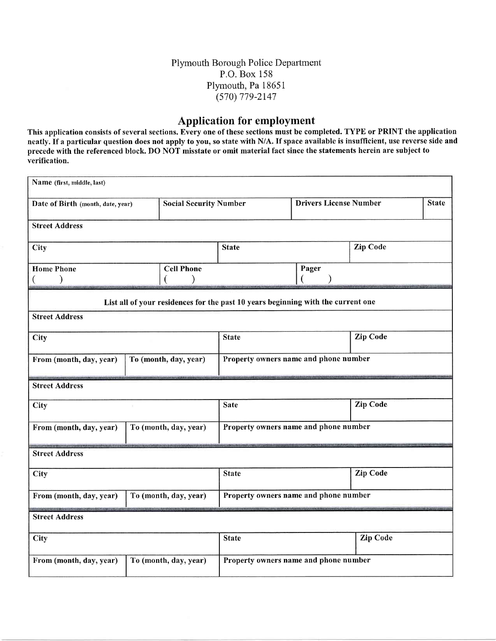## Plymouth Borough Police Department P.O. Box 158 Plynouth, Pa 18651 (s70) 779-2147

## Application for employment

This application consists of several sections. Every one of these sections must be completed. TYPE or PRINT the application neatly. If a particular question does not apply to you, so state with N/A. If space available is insufficient, use reverse side and precede with the referenced block. DO NOT misstate or omit material fact since the statements herein are subject to verification.

| Name (first, middle, last)                                         |                                   |                                       |                                                                                  |                 |                 |  |  |
|--------------------------------------------------------------------|-----------------------------------|---------------------------------------|----------------------------------------------------------------------------------|-----------------|-----------------|--|--|
| <b>Social Security Number</b><br>Date of Birth (month, date, year) |                                   | <b>Drivers License Number</b>         |                                                                                  |                 | <b>State</b>    |  |  |
| <b>Street Address</b>                                              |                                   |                                       |                                                                                  |                 |                 |  |  |
| City                                                               |                                   | <b>State</b>                          |                                                                                  | <b>Zip Code</b> |                 |  |  |
| <b>Home Phone</b><br>$\mathcal{E}$<br>€                            | <b>Cell Phone</b><br>$\big)$<br>€ |                                       |                                                                                  | Pager           |                 |  |  |
|                                                                    |                                   |                                       | List all of your residences for the past 10 years beginning with the current one |                 |                 |  |  |
| <b>Street Address</b>                                              |                                   |                                       |                                                                                  |                 |                 |  |  |
| City                                                               |                                   | <b>State</b>                          |                                                                                  | <b>Zip Code</b> |                 |  |  |
| From (month, day, year)<br>To (month, day, year)                   |                                   | Property owners name and phone number |                                                                                  |                 |                 |  |  |
| <b>Street Address</b>                                              |                                   |                                       |                                                                                  |                 |                 |  |  |
| City                                                               |                                   | <b>Sate</b>                           |                                                                                  | <b>Zip Code</b> |                 |  |  |
| To (month, day, year)<br>From (month, day, year)                   |                                   |                                       | Property owners name and phone number                                            |                 |                 |  |  |
| <b>Street Address</b>                                              |                                   |                                       |                                                                                  |                 |                 |  |  |
| City                                                               |                                   | <b>State</b>                          |                                                                                  | <b>Zip Code</b> |                 |  |  |
| From (month, day, year)<br>To (month, day, year)                   |                                   | Property owners name and phone number |                                                                                  |                 |                 |  |  |
|                                                                    |                                   |                                       |                                                                                  |                 |                 |  |  |
| <b>Street Address</b>                                              |                                   |                                       |                                                                                  |                 |                 |  |  |
| City                                                               |                                   |                                       | <b>State</b>                                                                     |                 | <b>Zip Code</b> |  |  |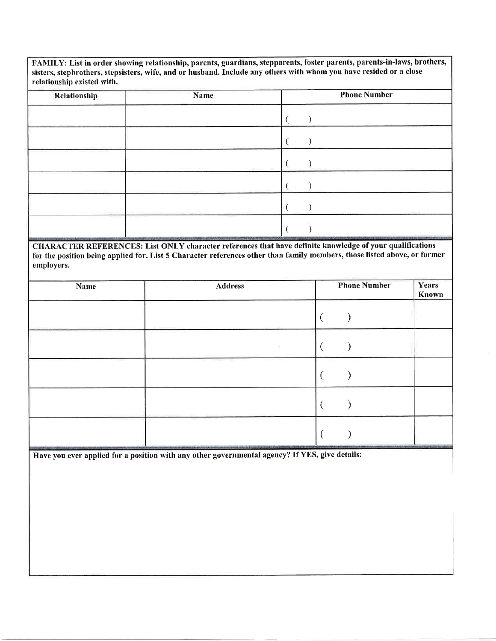FAMILY: List in order showing relationship, parents, guardians, stepparents, foster parents, parents-in-laws, brothers, sisters, stepbrothers, stepsisters, wife, and or husband. Include any others with whom you have resided or a close relationship existed with.

| Relationship | Name | <b>Phone Number</b> |
|--------------|------|---------------------|
|              |      |                     |
|              |      |                     |
|              |      |                     |
|              |      |                     |
|              |      |                     |
|              |      |                     |

CHARACTER REFERENCES: List ONLY character references that have definite knowledge of your qualifications for the position being applied for. List 5 Character references other than family members, those listed above, or former employers.

| Name | <b>Address</b> | <b>Phone Number</b> | Years<br>Known |
|------|----------------|---------------------|----------------|
|      |                |                     |                |
|      |                |                     |                |
|      |                |                     |                |
|      |                |                     |                |
|      |                |                     |                |

Have you ever applied for a position with any other governmental agency? If YES, give details: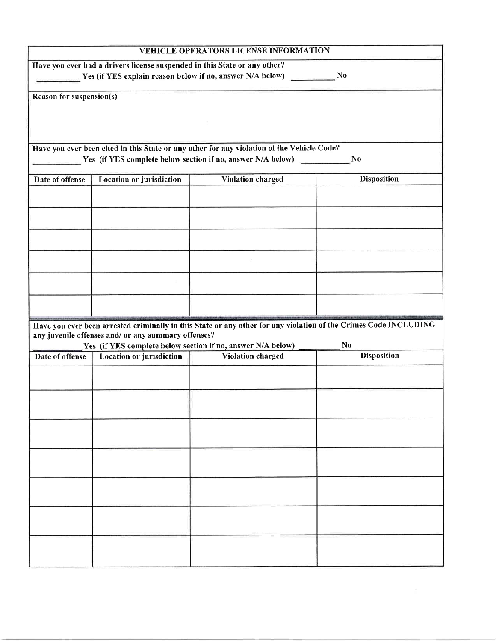|                                 |                          | $\mathbf{N}$                                                                                                                                                                                                                                                                                                                                                                                                                                                                                                                                                                           |
|---------------------------------|--------------------------|----------------------------------------------------------------------------------------------------------------------------------------------------------------------------------------------------------------------------------------------------------------------------------------------------------------------------------------------------------------------------------------------------------------------------------------------------------------------------------------------------------------------------------------------------------------------------------------|
| Reason for suspension(s)        |                          |                                                                                                                                                                                                                                                                                                                                                                                                                                                                                                                                                                                        |
|                                 |                          | N <sub>0</sub>                                                                                                                                                                                                                                                                                                                                                                                                                                                                                                                                                                         |
| <b>Location or jurisdiction</b> | <b>Violation charged</b> | <b>Disposition</b>                                                                                                                                                                                                                                                                                                                                                                                                                                                                                                                                                                     |
|                                 |                          |                                                                                                                                                                                                                                                                                                                                                                                                                                                                                                                                                                                        |
|                                 |                          |                                                                                                                                                                                                                                                                                                                                                                                                                                                                                                                                                                                        |
|                                 |                          |                                                                                                                                                                                                                                                                                                                                                                                                                                                                                                                                                                                        |
|                                 |                          |                                                                                                                                                                                                                                                                                                                                                                                                                                                                                                                                                                                        |
|                                 |                          | N <sub>0</sub>                                                                                                                                                                                                                                                                                                                                                                                                                                                                                                                                                                         |
| Location or jurisdiction        | Violation charged        | <b>Disposition</b>                                                                                                                                                                                                                                                                                                                                                                                                                                                                                                                                                                     |
|                                 |                          |                                                                                                                                                                                                                                                                                                                                                                                                                                                                                                                                                                                        |
|                                 |                          |                                                                                                                                                                                                                                                                                                                                                                                                                                                                                                                                                                                        |
|                                 |                          |                                                                                                                                                                                                                                                                                                                                                                                                                                                                                                                                                                                        |
|                                 |                          |                                                                                                                                                                                                                                                                                                                                                                                                                                                                                                                                                                                        |
|                                 |                          |                                                                                                                                                                                                                                                                                                                                                                                                                                                                                                                                                                                        |
|                                 |                          |                                                                                                                                                                                                                                                                                                                                                                                                                                                                                                                                                                                        |
|                                 |                          |                                                                                                                                                                                                                                                                                                                                                                                                                                                                                                                                                                                        |
|                                 |                          | VEHICLE OPERATORS LICENSE INFORMATION<br>Have you ever had a drivers license suspended in this State or any other?<br>Yes (if YES explain reason below if no, answer N/A below)<br>Have you ever been cited in this State or any other for any violation of the Vehicle Code?<br>Yes (if YES complete below section if no, answer N/A below)<br>Have you ever been arrested criminally in this State or any other for any violation of the Crimes Code INCLUDING<br>any juvenile offenses and/ or any summary offenses?<br>Yes (if YES complete below section if no, answer N/A below) |

 $\widetilde{a}$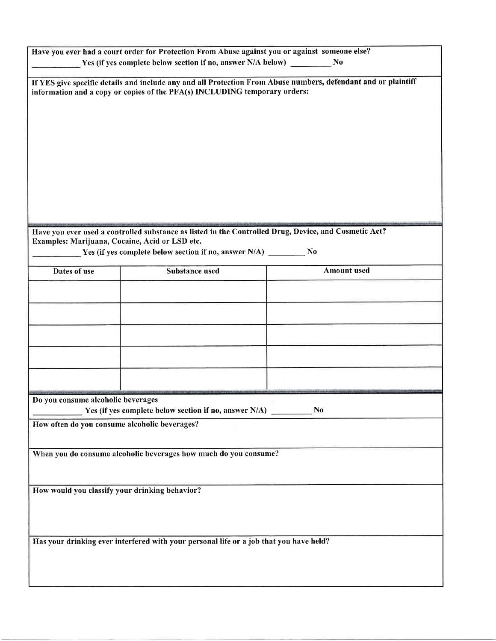| Have you ever had a court order for Protection From Abuse against you or against someone else?<br>Yes (if yes complete below section if no, answer N/A below)<br>No                          |                                                                                                       |                    |  |  |  |  |
|----------------------------------------------------------------------------------------------------------------------------------------------------------------------------------------------|-------------------------------------------------------------------------------------------------------|--------------------|--|--|--|--|
|                                                                                                                                                                                              |                                                                                                       |                    |  |  |  |  |
| If YES give specific details and include any and all Protection From Abuse numbers, defendant and or plaintiff<br>information and a copy or copies of the PFA(s) INCLUDING temporary orders: |                                                                                                       |                    |  |  |  |  |
|                                                                                                                                                                                              |                                                                                                       |                    |  |  |  |  |
|                                                                                                                                                                                              |                                                                                                       |                    |  |  |  |  |
|                                                                                                                                                                                              |                                                                                                       |                    |  |  |  |  |
|                                                                                                                                                                                              |                                                                                                       |                    |  |  |  |  |
|                                                                                                                                                                                              |                                                                                                       |                    |  |  |  |  |
|                                                                                                                                                                                              |                                                                                                       |                    |  |  |  |  |
|                                                                                                                                                                                              |                                                                                                       |                    |  |  |  |  |
|                                                                                                                                                                                              |                                                                                                       |                    |  |  |  |  |
|                                                                                                                                                                                              | Have you ever used a controlled substance as listed in the Controlled Drug, Device, and Cosmetic Act? |                    |  |  |  |  |
| Examples: Marijuana, Cocaine, Acid or LSD etc.                                                                                                                                               | Yes (if yes complete below section if no, answer N/A) __________ No                                   |                    |  |  |  |  |
|                                                                                                                                                                                              |                                                                                                       |                    |  |  |  |  |
| Dates of use                                                                                                                                                                                 | <b>Substance used</b>                                                                                 | <b>Amount</b> used |  |  |  |  |
|                                                                                                                                                                                              |                                                                                                       |                    |  |  |  |  |
|                                                                                                                                                                                              |                                                                                                       |                    |  |  |  |  |
|                                                                                                                                                                                              |                                                                                                       |                    |  |  |  |  |
|                                                                                                                                                                                              |                                                                                                       |                    |  |  |  |  |
|                                                                                                                                                                                              |                                                                                                       |                    |  |  |  |  |
|                                                                                                                                                                                              |                                                                                                       |                    |  |  |  |  |
|                                                                                                                                                                                              |                                                                                                       |                    |  |  |  |  |
|                                                                                                                                                                                              |                                                                                                       |                    |  |  |  |  |
| Do you consume alcoholic beverages                                                                                                                                                           | Yes (if yes complete below section if no, answer N/A)                                                 | N <sub>0</sub>     |  |  |  |  |
| How often do you consume alcoholic beverages?                                                                                                                                                |                                                                                                       |                    |  |  |  |  |
|                                                                                                                                                                                              |                                                                                                       |                    |  |  |  |  |
|                                                                                                                                                                                              | When you do consume alcoholic beverages how much do you consume?                                      |                    |  |  |  |  |
|                                                                                                                                                                                              |                                                                                                       |                    |  |  |  |  |
|                                                                                                                                                                                              |                                                                                                       |                    |  |  |  |  |
| How would you classify your drinking behavior?                                                                                                                                               |                                                                                                       |                    |  |  |  |  |
|                                                                                                                                                                                              |                                                                                                       |                    |  |  |  |  |
|                                                                                                                                                                                              |                                                                                                       |                    |  |  |  |  |
|                                                                                                                                                                                              |                                                                                                       |                    |  |  |  |  |
|                                                                                                                                                                                              | Has your drinking ever interfered with your personal life or a job that you have held?                |                    |  |  |  |  |
|                                                                                                                                                                                              |                                                                                                       |                    |  |  |  |  |
|                                                                                                                                                                                              |                                                                                                       |                    |  |  |  |  |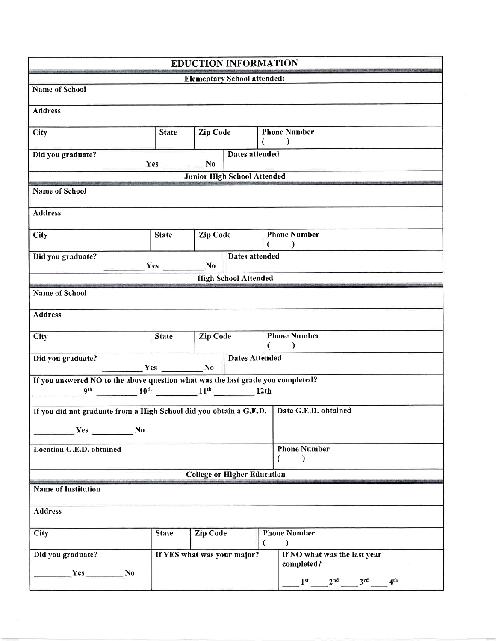| <b>EDUCTION INFORMATION</b>                                                                                                                                                                            |                                                                          |                 |                                    |   |                                                     |  |  |  |
|--------------------------------------------------------------------------------------------------------------------------------------------------------------------------------------------------------|--------------------------------------------------------------------------|-----------------|------------------------------------|---|-----------------------------------------------------|--|--|--|
| <b>Elementary School attended:</b>                                                                                                                                                                     |                                                                          |                 |                                    |   |                                                     |  |  |  |
| <b>Name of School</b>                                                                                                                                                                                  |                                                                          |                 |                                    |   |                                                     |  |  |  |
| <b>Address</b>                                                                                                                                                                                         |                                                                          |                 |                                    |   |                                                     |  |  |  |
| City                                                                                                                                                                                                   | <b>Phone Number</b><br>Zip Code<br><b>State</b><br>$\rightarrow$         |                 |                                    |   |                                                     |  |  |  |
| Dates attended<br>Did you graduate?<br>$Yes$ No                                                                                                                                                        |                                                                          |                 |                                    |   |                                                     |  |  |  |
|                                                                                                                                                                                                        |                                                                          |                 | <b>Junior High School Attended</b> |   |                                                     |  |  |  |
| <b>Name of School</b>                                                                                                                                                                                  |                                                                          |                 |                                    |   |                                                     |  |  |  |
| <b>Address</b>                                                                                                                                                                                         |                                                                          |                 |                                    |   |                                                     |  |  |  |
| <b>City</b>                                                                                                                                                                                            | <b>Phone Number</b><br>Zip Code<br><b>State</b><br>€                     |                 |                                    |   |                                                     |  |  |  |
| Did you graduate?                                                                                                                                                                                      | <b>Dates attended</b><br>N <sub>0</sub><br>Yes                           |                 |                                    |   |                                                     |  |  |  |
|                                                                                                                                                                                                        | <b>High School Attended</b>                                              |                 |                                    |   |                                                     |  |  |  |
| <b>Name of School</b>                                                                                                                                                                                  |                                                                          |                 |                                    |   |                                                     |  |  |  |
| <b>Address</b>                                                                                                                                                                                         |                                                                          |                 |                                    |   |                                                     |  |  |  |
| City                                                                                                                                                                                                   | <b>Phone Number</b><br><b>Zip Code</b><br><b>State</b><br>€<br>$\lambda$ |                 |                                    |   |                                                     |  |  |  |
| Did you graduate?<br>$Yes$ No                                                                                                                                                                          |                                                                          |                 | <b>Dates Attended</b>              |   |                                                     |  |  |  |
| If you answered NO to the above question what was the last grade you completed?<br>$\frac{10^{th}}{2}$ $\frac{10^{th}}{2}$ $\frac{11^{th}}{2}$ $\frac{11^{th}}{2}$ $\frac{12th}{2}$<br>9 <sup>th</sup> |                                                                          |                 |                                    |   |                                                     |  |  |  |
| If you did not graduate from a High School did you obtain a G.E.D.   Date G.E.D. obtained                                                                                                              |                                                                          |                 |                                    |   |                                                     |  |  |  |
| Yes No                                                                                                                                                                                                 |                                                                          |                 |                                    |   |                                                     |  |  |  |
| Location G.E.D. obtained                                                                                                                                                                               | <b>Phone Number</b>                                                      |                 |                                    |   | $\left($<br>$\mathcal{E}$                           |  |  |  |
| <b>College or Higher Education</b>                                                                                                                                                                     |                                                                          |                 |                                    |   |                                                     |  |  |  |
| <b>Name of Institution</b>                                                                                                                                                                             |                                                                          |                 |                                    |   |                                                     |  |  |  |
|                                                                                                                                                                                                        |                                                                          |                 |                                    |   |                                                     |  |  |  |
| <b>Address</b>                                                                                                                                                                                         |                                                                          |                 |                                    |   |                                                     |  |  |  |
| <b>City</b>                                                                                                                                                                                            | <b>State</b>                                                             | <b>Zip Code</b> |                                    | € | <b>Phone Number</b><br>€                            |  |  |  |
| Did you graduate?<br>$Yes$ No                                                                                                                                                                          | If YES what was your major?                                              |                 |                                    |   | If NO what was the last year<br>completed?          |  |  |  |
|                                                                                                                                                                                                        |                                                                          |                 |                                    |   | $1^{\rm st}$ $2^{\rm nd}$ $3^{\rm rd}$ $4^{\rm th}$ |  |  |  |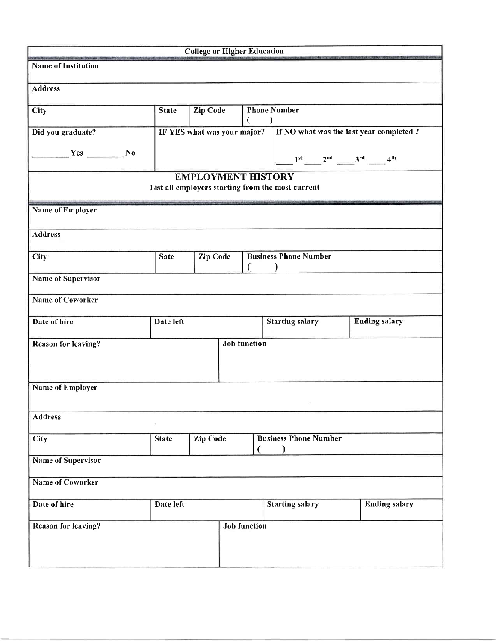|                            |                                 | <b>College or Higher Education</b> |                              |                      |                                                                                |                      |
|----------------------------|---------------------------------|------------------------------------|------------------------------|----------------------|--------------------------------------------------------------------------------|----------------------|
| <b>Name of Institution</b> |                                 |                                    |                              |                      |                                                                                |                      |
| <b>Address</b>             |                                 |                                    |                              |                      |                                                                                |                      |
| City                       | <b>State</b>                    | Zip Code                           |                              |                      | <b>Phone Number</b><br>$\mathcal{E}$                                           |                      |
| Did you graduate?          | IF YES what was your major?     |                                    |                              |                      | If NO what was the last year completed?                                        |                      |
| $Yes$ No                   |                                 |                                    |                              |                      | $1^{st}$ $2^{nd}$ $3^{rd}$ $4^{th}$                                            |                      |
|                            |                                 |                                    |                              |                      | <b>EMPLOYMENT HISTORY</b><br>List all employers starting from the most current |                      |
| <b>Name of Employer</b>    |                                 |                                    |                              |                      |                                                                                |                      |
| <b>Address</b>             |                                 |                                    |                              |                      |                                                                                |                      |
| City                       | <b>Zip Code</b><br><b>Sate</b>  |                                    | <b>Business Phone Number</b> |                      |                                                                                |                      |
| <b>Name of Supervisor</b>  |                                 |                                    |                              |                      |                                                                                |                      |
| <b>Name of Coworker</b>    |                                 |                                    |                              |                      |                                                                                |                      |
| Date of hire               | Date left                       |                                    | <b>Starting salary</b>       | <b>Ending salary</b> |                                                                                |                      |
| <b>Reason for leaving?</b> |                                 |                                    | <b>Job function</b>          |                      |                                                                                |                      |
|                            |                                 |                                    |                              |                      |                                                                                |                      |
| <b>Name of Employer</b>    |                                 |                                    |                              |                      |                                                                                |                      |
| <b>Address</b>             |                                 |                                    |                              |                      |                                                                                |                      |
| City                       | <b>Zip Code</b><br><b>State</b> |                                    | <b>Business Phone Number</b> |                      |                                                                                |                      |
| <b>Name of Supervisor</b>  |                                 |                                    |                              |                      |                                                                                |                      |
| <b>Name of Coworker</b>    |                                 |                                    |                              |                      |                                                                                |                      |
| Date of hire               | Date left                       |                                    |                              |                      | <b>Starting salary</b>                                                         | <b>Ending salary</b> |
| Reason for leaving?        |                                 |                                    | <b>Job function</b>          |                      |                                                                                |                      |
|                            |                                 |                                    |                              |                      |                                                                                |                      |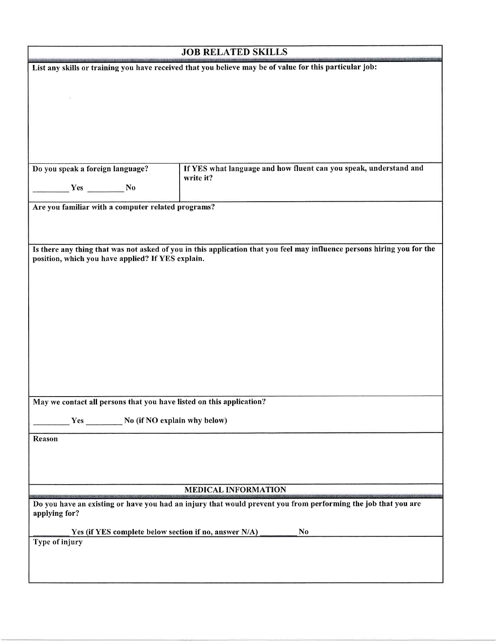|                                                    | <b>JOB RELATED SKILLS</b>                                                                                               |
|----------------------------------------------------|-------------------------------------------------------------------------------------------------------------------------|
|                                                    | List any skills or training you have received that you believe may be of value for this particular job:                 |
|                                                    |                                                                                                                         |
|                                                    |                                                                                                                         |
|                                                    |                                                                                                                         |
|                                                    |                                                                                                                         |
|                                                    |                                                                                                                         |
|                                                    |                                                                                                                         |
| Do you speak a foreign language?                   | If YES what language and how fluent can you speak, understand and<br>write it?                                          |
| Yes No                                             |                                                                                                                         |
| Are you familiar with a computer related programs? |                                                                                                                         |
|                                                    |                                                                                                                         |
|                                                    |                                                                                                                         |
|                                                    | Is there any thing that was not asked of you in this application that you feel may influence persons hiring you for the |
| position, which you have applied? If YES explain.  |                                                                                                                         |
|                                                    |                                                                                                                         |
|                                                    |                                                                                                                         |
|                                                    |                                                                                                                         |
|                                                    |                                                                                                                         |
|                                                    |                                                                                                                         |
|                                                    |                                                                                                                         |
|                                                    |                                                                                                                         |
|                                                    |                                                                                                                         |
|                                                    |                                                                                                                         |
|                                                    | May we contact all persons that you have listed on this application?                                                    |
|                                                    | Yes No (if NO explain why below)                                                                                        |
| Reason                                             |                                                                                                                         |
|                                                    |                                                                                                                         |
|                                                    |                                                                                                                         |
|                                                    |                                                                                                                         |
|                                                    | <b>MEDICAL INFORMATION</b>                                                                                              |
| applying for?                                      | Do you have an existing or have you had an injury that would prevent you from performing the job that you are           |
|                                                    |                                                                                                                         |
| Type of injury                                     | Yes (if YES complete below section if no, answer N/A)<br><b>No</b>                                                      |
|                                                    |                                                                                                                         |
|                                                    |                                                                                                                         |
|                                                    |                                                                                                                         |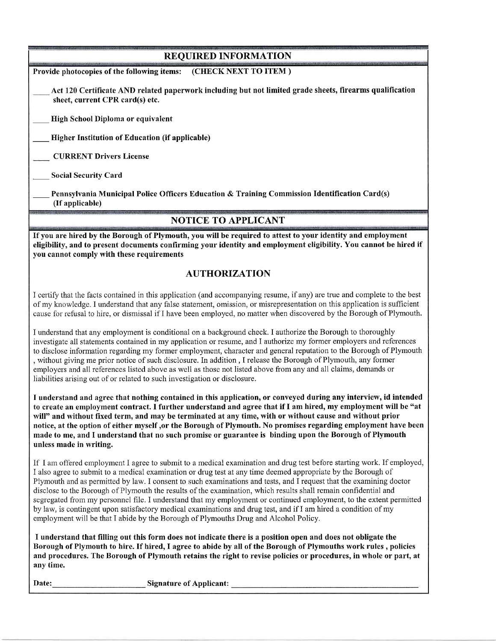| <b>REQUIRED INFORMATION</b>                                                                                                                                                                                                                                                                                                                                                                                                                                                                                                                                                                                                                                                                                                                                                                                         |
|---------------------------------------------------------------------------------------------------------------------------------------------------------------------------------------------------------------------------------------------------------------------------------------------------------------------------------------------------------------------------------------------------------------------------------------------------------------------------------------------------------------------------------------------------------------------------------------------------------------------------------------------------------------------------------------------------------------------------------------------------------------------------------------------------------------------|
| Provide photocopies of the following items:<br>(CHECK NEXT TO ITEM)                                                                                                                                                                                                                                                                                                                                                                                                                                                                                                                                                                                                                                                                                                                                                 |
| Act 120 Certificate AND related paperwork including but not limited grade sheets, firearms qualification<br>sheet, current CPR card(s) etc.                                                                                                                                                                                                                                                                                                                                                                                                                                                                                                                                                                                                                                                                         |
| High School Diploma or equivalent                                                                                                                                                                                                                                                                                                                                                                                                                                                                                                                                                                                                                                                                                                                                                                                   |
| <b>Higher Institution of Education (if applicable)</b>                                                                                                                                                                                                                                                                                                                                                                                                                                                                                                                                                                                                                                                                                                                                                              |
| <b>CURRENT Drivers License</b>                                                                                                                                                                                                                                                                                                                                                                                                                                                                                                                                                                                                                                                                                                                                                                                      |
| <b>Social Security Card</b>                                                                                                                                                                                                                                                                                                                                                                                                                                                                                                                                                                                                                                                                                                                                                                                         |
| Pennsylvania Municipal Police Officers Education & Training Commission Identification Card(s)<br>(If applicable)                                                                                                                                                                                                                                                                                                                                                                                                                                                                                                                                                                                                                                                                                                    |
| <b>NOTICE TO APPLICANT</b>                                                                                                                                                                                                                                                                                                                                                                                                                                                                                                                                                                                                                                                                                                                                                                                          |
| If you are hired by the Borough of Plymouth, you will be required to attest to your identity and employment<br>eligibility, and to present documents confirming your identity and employment eligibility. You cannot be hired if<br>you cannot comply with these requirements                                                                                                                                                                                                                                                                                                                                                                                                                                                                                                                                       |
| <b>AUTHORIZATION</b>                                                                                                                                                                                                                                                                                                                                                                                                                                                                                                                                                                                                                                                                                                                                                                                                |
| I certify that the facts contained in this application (and accompanying resume, if any) are true and complete to the best<br>of my knowledge. I understand that any false statement, omission, or misrepresentation on this application is sufficient<br>cause for refusal to hire, or dismissal if I have been employed, no matter when discovered by the Borough of Plymouth.                                                                                                                                                                                                                                                                                                                                                                                                                                    |
| I understand that any employment is conditional on a background check. I authorize the Borough to thoroughly<br>investigate all statements contained in my application or resume, and I authorize my former employers and references<br>to disclose information regarding my former employment, character and general reputation to the Borough of Plymouth<br>, without giving me prior notice of such disclosure. In addition, I release the Borough of Plymouth, any former<br>employers and all references listed above as well as those not listed above from any and all claims, demands or<br>liabilities arising out of or related to such investigation or disclosure.                                                                                                                                     |
| I understand and agree that nothing contained in this application, or conveyed during any interview, id intended<br>to create an employment contract. I further understand and agree that if I am hired, my employment will be "at<br>will" and without fixed term, and may be terminated at any time, with or without cause and without prior<br>notice, at the option of either myself ,or the Borough of Plymouth. No promises regarding employment have been<br>made to me, and I understand that no such promise or guarantee is binding upon the Borough of Plymouth<br>unless made in writing.                                                                                                                                                                                                               |
| If I am offered employment I agree to submit to a medical examination and drug test before starting work. If employed,<br>I also agree to submit to a medical examination or drug test at any time deemed appropriate by the Borough of<br>Plymouth and as permitted by law. I consent to such examinations and tests, and I request that the examining doctor<br>disclose to the Borough of Plymouth the results of the examination, which results shall remain confidential and<br>segregated from my personnel file. I understand that my employment or continued employment, to the extent permitted<br>by law, is contingent upon satisfactory medical examinations and drug test, and if I am hired a condition of my<br>employment will be that I abide by the Borough of Plymouths Drug and Alcohol Policy. |
| I understand that filling out this form does not indicate there is a position open and does not obligate the<br>Borough of Plymouth to hire. If hired, I agree to abide by all of the Borough of Plymouths work rules, policies<br>and procedures. The Borough of Plymouth retains the right to revise policies or procedures, in whole or part, at<br>any time.                                                                                                                                                                                                                                                                                                                                                                                                                                                    |
| Signature of Applicant:<br>Date:                                                                                                                                                                                                                                                                                                                                                                                                                                                                                                                                                                                                                                                                                                                                                                                    |